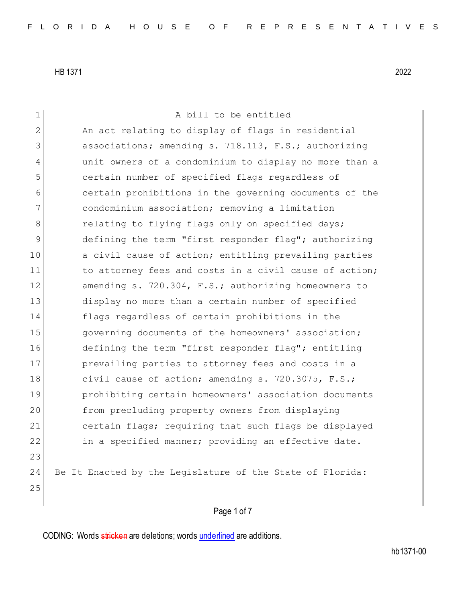Page 1 of 7 1 A bill to be entitled 2 An act relating to display of flags in residential 3 associations; amending s. 718.113, F.S.; authorizing 4 unit owners of a condominium to display no more than a 5 certain number of specified flags regardless of 6 certain prohibitions in the governing documents of the 7 condominium association; removing a limitation 8 relating to flying flags only on specified days; 9 defining the term "first responder flag"; authorizing 10 a civil cause of action; entitling prevailing parties 11 to attorney fees and costs in a civil cause of action; 12 amending s. 720.304, F.S.; authorizing homeowners to 13 display no more than a certain number of specified 14 flags regardless of certain prohibitions in the 15 15 governing documents of the homeowners' association; 16 defining the term "first responder flag"; entitling 17 **prevailing parties to attorney fees and costs in a** 18 civil cause of action; amending s. 720.3075, F.S.; 19 prohibiting certain homeowners' association documents 20 from precluding property owners from displaying 21 certain flags; requiring that such flags be displayed 22 in a specified manner; providing an effective date. 23 24 Be It Enacted by the Legislature of the State of Florida: 25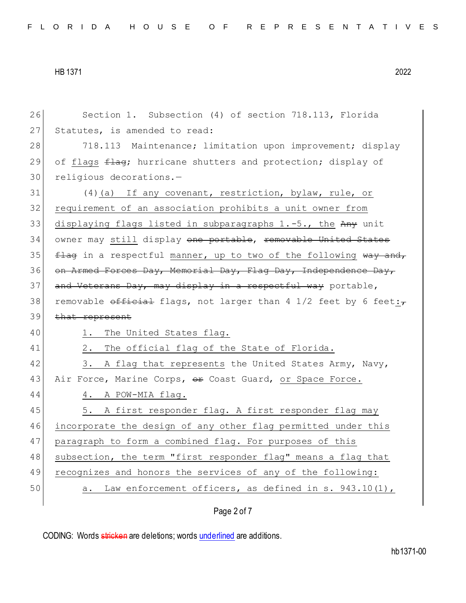26 Section 1. Subsection (4) of section 718.113, Florida 27 Statutes, is amended to read: 28 718.113 Maintenance; limitation upon improvement; display 29 of flags  $\pm 1$ ag; hurricane shutters and protection; display of 30 religious decorations.-31 (4)(a) If any covenant, restriction, bylaw, rule, or 32 requirement of an association prohibits a unit owner from 33 displaying flags listed in subparagraphs  $1.-5.$ , the Any unit 34 owner may still display one portable, removable United States 35  $f$   $\frac{f \cdot f}{f}$  in a respectful manner, up to two of the following way and, 36 on Armed Forces Day, Memorial Day, Flag Day, Independence Day, 37 and Veterans Day, may display in a respectful way portable, 38 removable official flags, not larger than 4 1/2 feet by 6 feet: $\tau$ 39 that represent 40 1. The United States flag. 41 2. The official flag of the State of Florida. 42 3. A flag that represents the United States Army, Navy, 43 Air Force, Marine Corps, <del>or</del> Coast Guard, or Space Force. 44 4. A POW-MIA flag. 45 5. A first responder flag. A first responder flag may 46 incorporate the design of any other flag permitted under this 47 paragraph to form a combined flag. For purposes of this 48 subsection, the term "first responder flag" means a flag that 49 recognizes and honors the services of any of the following: 50 a. Law enforcement officers, as defined in s. 943.10(1),

Page 2 of 7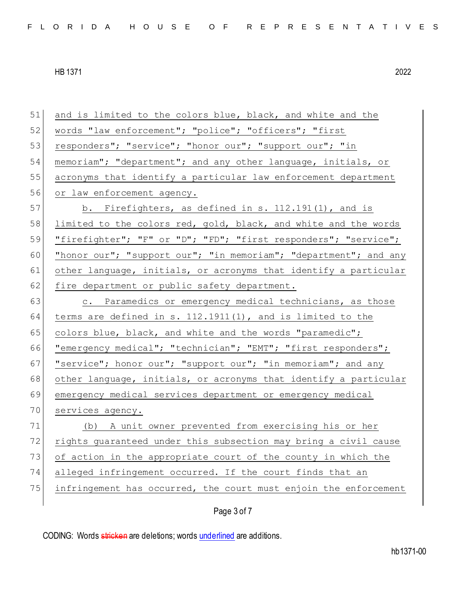| 51 | and is limited to the colors blue, black, and white and the      |
|----|------------------------------------------------------------------|
| 52 | words "law enforcement"; "police"; "officers"; "first            |
| 53 | responders"; "service"; "honor our"; "support our"; "in          |
| 54 | memoriam"; "department"; and any other language, initials, or    |
| 55 | acronyms that identify a particular law enforcement department   |
| 56 | or law enforcement agency.                                       |
| 57 | b. Firefighters, as defined in s. $112.191(1)$ , and is          |
| 58 | limited to the colors red, gold, black, and white and the words  |
| 59 | "firefighter"; "F" or "D"; "FD"; "first responders"; "service";  |
| 60 | "honor our"; "support our"; "in memoriam"; "department"; and any |
| 61 | other language, initials, or acronyms that identify a particular |
| 62 | fire department or public safety department.                     |
| 63 | c. Paramedics or emergency medical technicians, as those         |
| 64 | terms are defined in s. 112.1911(1), and is limited to the       |
| 65 | colors blue, black, and white and the words "paramedic";         |
| 66 | "emergency medical"; "technician"; "EMT"; "first responders";    |
| 67 | "service"; honor our"; "support our"; "in memoriam"; and any     |
| 68 | other language, initials, or acronyms that identify a particular |
| 69 | emergency medical services department or emergency medical       |
| 70 | services agency.                                                 |
| 71 | (b) A unit owner prevented from exercising his or her            |
| 72 | rights quaranteed under this subsection may bring a civil cause  |
| 73 | of action in the appropriate court of the county in which the    |
| 74 | alleged infringement occurred. If the court finds that an        |
| 75 | infringement has occurred, the court must enjoin the enforcement |
|    | Page 3 of 7                                                      |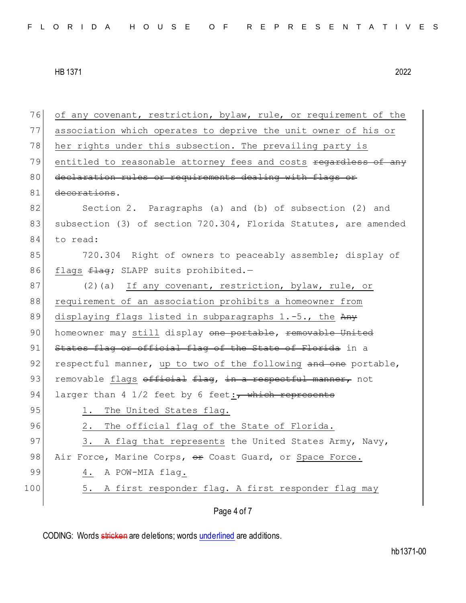| 76  | of any covenant, restriction, bylaw, rule, or requirement of the |
|-----|------------------------------------------------------------------|
| 77  | association which operates to deprive the unit owner of his or   |
| 78  | her rights under this subsection. The prevailing party is        |
| 79  | entitled to reasonable attorney fees and costs regardless of any |
| 80  | declaration rules or requirements dealing with flags or          |
| 81  | decorations.                                                     |
| 82  | Section 2. Paragraphs (a) and (b) of subsection (2) and          |
| 83  | subsection (3) of section 720.304, Florida Statutes, are amended |
| 84  | to read:                                                         |
| 85  | 720.304 Right of owners to peaceably assemble; display of        |
| 86  | flags flag; SLAPP suits prohibited.-                             |
| 87  | (2)(a) If any covenant, restriction, bylaw, rule, or             |
| 88  | requirement of an association prohibits a homeowner from         |
| 89  | displaying flags listed in subparagraphs 1.-5., the Any          |
| 90  | homeowner may still display one portable, removable United       |
| 91  | States flag or official flag of the State of Florida in a        |
| 92  | respectful manner, up to two of the following and one portable,  |
| 93  | removable flags official flag, in a respectful manner, not       |
| 94  | larger than 4 $1/2$ feet by 6 feet: $\tau$ which represents      |
| 95  | 1. The United States flag.                                       |
| 96  | 2.<br>The official flag of the State of Florida.                 |
| 97  | 3.<br>A flag that represents the United States Army, Navy,       |
| 98  | Air Force, Marine Corps, or Coast Guard, or Space Force.         |
| 99  | A POW-MIA flag.<br>4.                                            |
| 100 | A first responder flag. A first responder flag may<br>5.         |
|     | Page 4 of 7                                                      |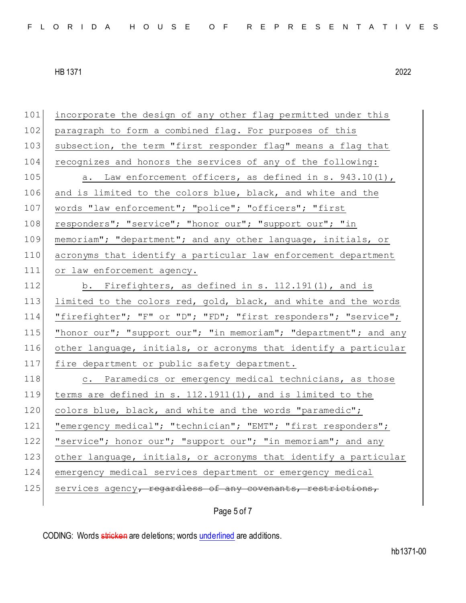101 incorporate the design of any other flag permitted under this 102 paragraph to form a combined flag. For purposes of this 103 subsection, the term "first responder flag" means a flag that 104 recognizes and honors the services of any of the following: 105  $\vert$  a. Law enforcement officers, as defined in s. 943.10(1), 106 and is limited to the colors blue, black, and white and the 107 words "law enforcement"; "police"; "officers"; "first 108 responders"; "service"; "honor our"; "support our"; "in 109 memoriam"; "department"; and any other language, initials, or 110 acronyms that identify a particular law enforcement department 111 or law enforcement agency. 112 b. Firefighters, as defined in s. 112.191(1), and is 113 limited to the colors red, gold, black, and white and the words 114 "firefighter"; "F" or "D"; "FD"; "first responders"; "service"; 115 "honor our"; "support our"; "in memoriam"; "department"; and any 116 other language, initials, or acronyms that identify a particular 117 fire department or public safety department. 118 c. Paramedics or emergency medical technicians, as those 119 terms are defined in s. 112.1911(1), and is limited to the 120 colors blue, black, and white and the words "paramedic"; 121 | "emergency medical"; "technician"; "EMT"; "first responders"; 122 "service"; honor our"; "support our"; "in memoriam"; and any 123 other language, initials, or acronyms that identify a particular 124 emergency medical services department or emergency medical  $125$  services agency, regardless of any covenants, restrictions,

Page 5 of 7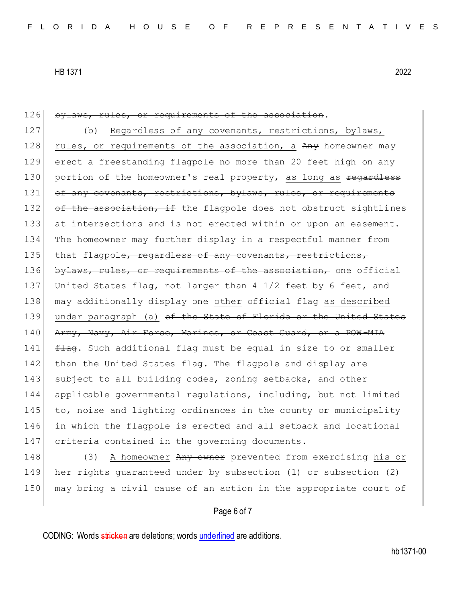| 126 | bylaws, rules, or requirements of the association.                     |
|-----|------------------------------------------------------------------------|
| 127 | Regardless of any covenants, restrictions, bylaws,<br>(b)              |
| 128 | rules, or requirements of the association, a Any homeowner may         |
| 129 | erect a freestanding flagpole no more than 20 feet high on any         |
| 130 | portion of the homeowner's real property, as long as regardless        |
| 131 | of any covenants, restrictions, bylaws, rules, or requirements         |
| 132 | of the association, if the flagpole does not obstruct sightlines       |
| 133 | at intersections and is not erected within or upon an easement.        |
| 134 | The homeowner may further display in a respectful manner from          |
| 135 | that flagpole, regardless of any covenants, restrictions,              |
| 136 | bylaws, rules, or requirements of the association, one official        |
| 137 | United States flag, not larger than $4\frac{1}{2}$ feet by 6 feet, and |
| 138 | may additionally display one other official flag as described          |
| 139 | under paragraph (a) of the State of Florida or the United States       |
| 140 | Army, Navy, Air Force, Marines, or Coast Guard, or a POW-MIA           |
| 141 | flag. Such additional flag must be equal in size to or smaller         |
| 142 | than the United States flag. The flagpole and display are              |
| 143 | subject to all building codes, zoning setbacks, and other              |
| 144 | applicable governmental regulations, including, but not limited        |
| 145 | to, noise and lighting ordinances in the county or municipality        |
| 146 | in which the flagpole is erected and all setback and locational        |
| 147 | criteria contained in the governing documents.                         |
| 148 | A homeowner Any owner prevented from exercising his or<br>(3)          |
| 149 | her rights guaranteed under by subsection (1) or subsection (2)        |

## Page 6 of 7

150 may bring a civil cause of an action in the appropriate court of